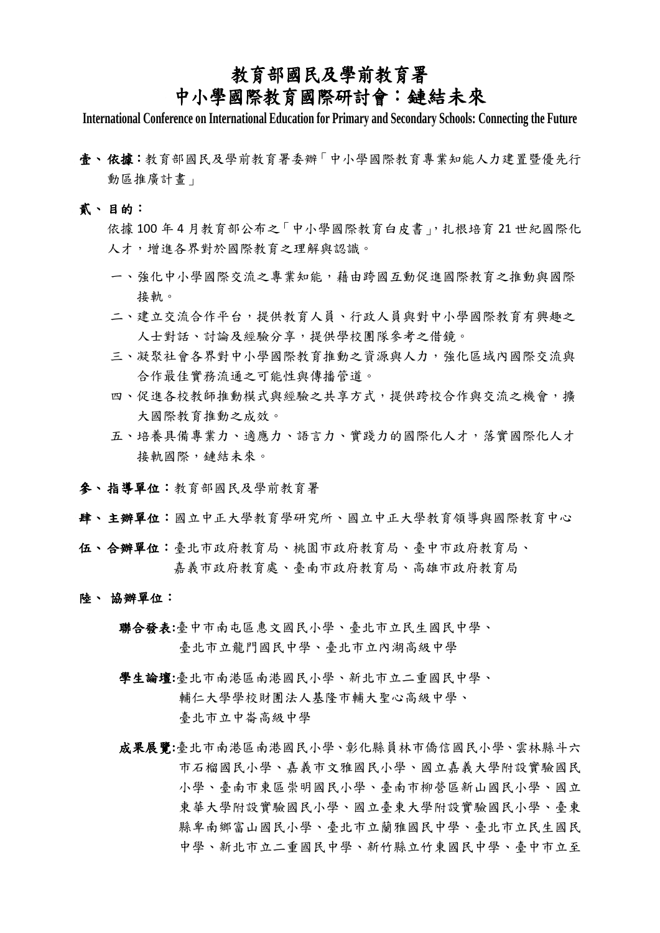### 教育部國民及學前教育署

## 中小學國際教育國際研討會:鏈結未來

**International Conference on International Education for Primary and Secondary Schools: Connecting the Future**

- 壹、 依據:教育部國民及學前教育署委辦「中小學國際教育專業知能人力建置暨優先行 動區推廣計畫」
- 貳、 目的:

依據 100 年 4 月教育部公布之「中小學國際教育白皮書」,扎根培育 21 世紀國際化 人才,增進各界對於國際教育之理解與認識。

- 一、強化中小學國際交流之專業知能,藉由跨國互動促進國際教育之推動與國際 接軌。
- 二、建立交流合作平台,提供教育人員、行政人員與對中小學國際教育有興趣之 人士對話、討論及經驗分享,提供學校團隊參考之借鏡。
- 三、凝聚社會各界對中小學國際教育推動之資源與人力,強化區域內國際交流與 合作最佳實務流通之可能性與傳播管道。
- 四、促進各校教師推動模式與經驗之共享方式,提供跨校合作與交流之機會,擴 大國際教育推動之成效。
- 五、培養具備專業力、適應力、語言力、實踐力的國際化人才,落實國際化人才 接軌國際,鏈結未來。
- 參、 指導單位:教育部國民及學前教育署
- 肆、 主辦單位:國立中正大學教育學研究所、國立中正大學教育領導與國際教育中心
- 伍、 合辦單位:臺北市政府教育局、桃園市政府教育局、臺中市政府教育局、 嘉義市政府教育處、臺南市政府教育局、高雄市政府教育局
- 陸、 協辦單位:
	- 聯合發表**:**臺中市南屯區惠文國民小學、臺北市立民生國民中學、 臺北市立龍門國民中學、臺北市立內湖高級中學
	- 學生論壇**:**臺北市南港區南港國民小學、新北市立二重國民中學、 輔仁大學學校財團法人基隆市輔大聖心高級中學、 臺北市立中崙高級中學
	- 成果展覽**:**臺北市南港區南港國民小學、彰化縣員林市僑信國民小學、雲林縣斗六 市石榴國民小學、嘉義市文雅國民小學、國立嘉義大學附設實驗國民 小學、臺南市東區崇明國民小學、臺南市柳營區新山國民小學、國立 東華大學附設實驗國民小學、國立臺東大學附設實驗國民小學、臺東 縣卑南鄉富山國民小學、臺北市立蘭雅國民中學、臺北市立民生國民 中學、新北市立二重國民中學、新竹縣立竹東國民中學、臺中市立至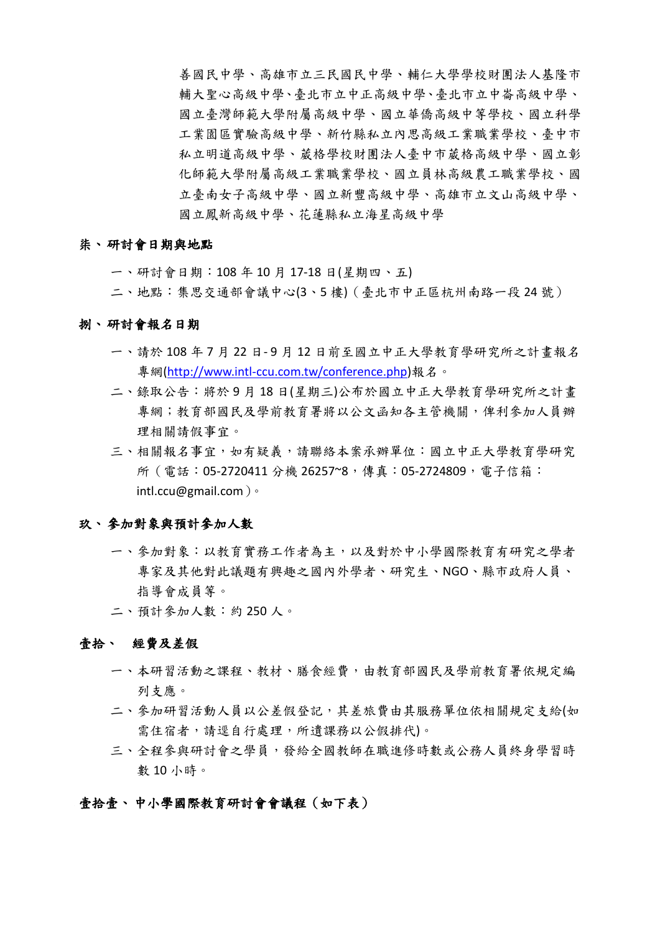善國民中學、高雄市立三民國民中學、輔仁大學學校財團法人基隆市 輔大聖心高級中學、臺北市立中正高級中學、臺北市立中崙高級中學、 國立臺灣師範大學附屬高級中學、國立華僑高級中等學校、國立科學 工業園區實驗高級中學、新竹縣私立內思高級工業職業學校、臺中市 私立明道高級中學、葳格學校財團法人臺中市葳格高級中學、國立彰 化師範大學附屬高級工業職業學校、國立員林高級農工職業學校、國 立臺南女子高級中學、國立新豐高級中學、高雄市立文山高級中學、 國立鳳新高級中學、花蓮縣私立海星高級中學

#### 柒、 研討會日期與地點

一、研討會日期:108 年 10 月 17-18 日(星期四、五)

二、地點:集思交通部會議中心(3、5 樓)(臺北市中正區杭州南路一段 24 號)

#### 捌、 研討會報名日期

- 一、請於 108 年 7 月 22 日- 9 月 12 日前至國立中正大學教育學研究所之計畫報名 專網[\(http://www.intl-ccu.com.tw/conference.php\)](http://www.intl-ccu.com.tw/conference.php)報名。
- 二、錄取公告:將於 9 月 18 日(星期三)公布於國立中正大學教育學研究所之計書 專網;教育部國民及學前教育署將以公文函知各主管機關,俾利參加人員辦 理相關請假事宜。
- 三、相關報名事宜,如有疑義,請聯絡本案承辦單位:國立中正大學教育學研究 所 (電話: 05-2720411 分機 26257~8,傳真: 05-2724809,電子信箱: intl.ccu@gmail.com)。

#### 玖、參加對象與預計參加人數

- 一、參加對象:以教育實務工作者為主,以及對於中小學國際教育有研究之學者 專家及其他對此議題有興趣之國內外學者、研究生、NGO、縣市政府人員、 指導會成員等。
- 二、預計參加人數:約 250 人。

#### 壹拾、 經費及差假

- 一、本研習活動之課程、教材、膳食經費,由教育部國民及學前教育署依規定編 列支應。
- 二、參加研習活動人員以公差假登記,其差旅費由其服務單位依相關規定支給(如 需住宿者,請逕自行處理,所遺課務以公假排代)。
- 三、全程參與研討會之學員,發給全國教師在職進修時數或公務人員終身學習時 數 10 小時。

#### 壹拾壹、 中小學國際教育研討會會議程(如下表)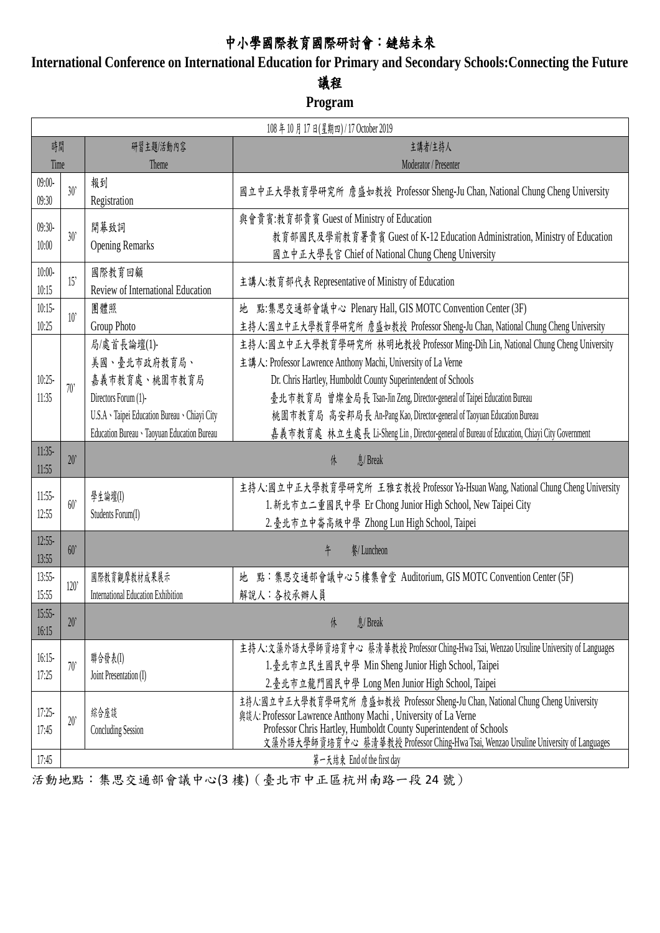# 中小學國際教育國際研討會:鏈結未來

**International Conference on International Education for Primary and Secondary Schools:Connecting the Future**

## 議程

### **Program**

| 108年10月17日(星期四)/17 October 2019 |      |                                                                                                                                                                      |                                                                                                                                                                                                                                                                                                                                                                                                                                                                    |  |  |
|---------------------------------|------|----------------------------------------------------------------------------------------------------------------------------------------------------------------------|--------------------------------------------------------------------------------------------------------------------------------------------------------------------------------------------------------------------------------------------------------------------------------------------------------------------------------------------------------------------------------------------------------------------------------------------------------------------|--|--|
| 時間                              |      | 研習主題/活動內容                                                                                                                                                            | 主講者/主持人                                                                                                                                                                                                                                                                                                                                                                                                                                                            |  |  |
| Time                            |      | Theme                                                                                                                                                                | Moderator / Presenter                                                                                                                                                                                                                                                                                                                                                                                                                                              |  |  |
| $09:00-$<br>09:30               | 30'  | 報到<br>Registration                                                                                                                                                   | 國立中正大學教育學研究所 詹盛如教授 Professor Sheng-Ju Chan, National Chung Cheng University                                                                                                                                                                                                                                                                                                                                                                                        |  |  |
| $09:30-$<br>10:00               | 30'  | 開幕致詞<br><b>Opening Remarks</b>                                                                                                                                       | 與會貴賓:教育部貴賓 Guest of Ministry of Education<br>教育部國民及學前教育署貴賓 Guest of K-12 Education Administration, Ministry of Education<br>國立中正大學長官 Chief of National Chung Cheng University                                                                                                                                                                                                                                                                                      |  |  |
| $10:00-$<br>10:15               | 15'  | 國際教育回顧<br>Review of International Education                                                                                                                          | 主講人:教育部代表 Representative of Ministry of Education                                                                                                                                                                                                                                                                                                                                                                                                                  |  |  |
| 10:15<br>10:25                  | 10'  | 團體照<br>Group Photo                                                                                                                                                   | 地 點:集思交通部會議中心 Plenary Hall, GIS MOTC Convention Center (3F)<br>主持人:國立中正大學教育學研究所 詹盛如教授 Professor Sheng-Ju Chan, National Chung Cheng University                                                                                                                                                                                                                                                                                                                     |  |  |
| 10:25<br>11:35                  | 70'  | 局/處首長論壇(1)-<br>美國、臺北市政府教育局、<br>嘉義市教育處、桃園市教育局<br>Directors Forum (1)-<br>U.S.A · Taipei Education Bureau · Chiayi City<br>Education Bureau · Taoyuan Education Bureau | 主持人:國立中正大學教育學研究所 林明地教授 Professor Ming-Dih Lin, National Chung Cheng University<br>主講人: Professor Lawrence Anthony Machi, University of La Verne<br>Dr. Chris Hartley, Humboldt County Superintendent of Schools<br>臺北市教育局 曾燦金局長 Tsan-Jin Zeng, Director-general of Taipei Education Bureau<br>桃園市教育局 高安邦局長 An-Pang Kao, Director-general of Taoyuan Education Bureau<br>嘉義市教育處 林立生處長 Li-Sheng Lin, Director-general of Bureau of Education, Chiayi City Government |  |  |
| $11:35-$<br>11:55               | 20'  |                                                                                                                                                                      | 息/ Break<br>休                                                                                                                                                                                                                                                                                                                                                                                                                                                      |  |  |
|                                 |      |                                                                                                                                                                      |                                                                                                                                                                                                                                                                                                                                                                                                                                                                    |  |  |
| $11:55-$<br>12:55               | 60'  | 學生論壇(I)<br>Students Forum(I)                                                                                                                                         | 主持人:國立中正大學教育學研究所 王雅玄教授 Professor Ya-Hsuan Wang, National Chung Cheng University<br>1. 新北市立二重國民中學 Er Chong Junior High School, New Taipei City<br>2. 臺北市立中崙高級中學 Zhong Lun High School, Taipei                                                                                                                                                                                                                                                                       |  |  |
| $12:55-$<br>13:55               | 60'  |                                                                                                                                                                      | 午<br>餐/ Luncheon                                                                                                                                                                                                                                                                                                                                                                                                                                                   |  |  |
| 13:55<br>15:55                  | 120' | 國際教育觀摩教材成果展示<br><b>International Education Exhibition</b>                                                                                                            | 地 點:集思交通部會議中心5樓集會堂 Auditorium, GIS MOTC Convention Center (5F)<br>解說人:各校承辦人員                                                                                                                                                                                                                                                                                                                                                                                       |  |  |
| $15:55-$<br>16:15               | 20'  |                                                                                                                                                                      | 息/ Break<br>休                                                                                                                                                                                                                                                                                                                                                                                                                                                      |  |  |
| $16:15-$<br>17:25               | 70'  | 聯合發表(I)<br>Joint Presentation (I)                                                                                                                                    | 主持人:文藻外語大學師資培育中心 蔡清華教授 Professor Ching-Hwa Tsai, Wenzao Ursuline University of Languages<br>1.臺北市立民生國民中學 Min Sheng Junior High School, Taipei<br>2. 臺北市立龍門國民中學 Long Men Junior High School, Taipei                                                                                                                                                                                                                                                                 |  |  |
| 17:25<br>17:45                  | 20'  | 綜合座談<br><b>Concluding Session</b>                                                                                                                                    | 主持人:國立中正大學教育學研究所 詹盛如教授 Professor Sheng-Ju Chan, National Chung Cheng University<br>奧談人: Professor Lawrence Anthony Machi, University of La Verne<br>Professor Chris Hartley, Humboldt County Superintendent of Schools<br>文藻外語大學師資培育中心 蔡清華教授 Professor Ching-Hwa Tsai, Wenzao Ursuline University of Languages                                                                                                                                                     |  |  |

活動地點:集思交通部會議中心(3 樓)(臺北市中正區杭州南路一段 24 號)